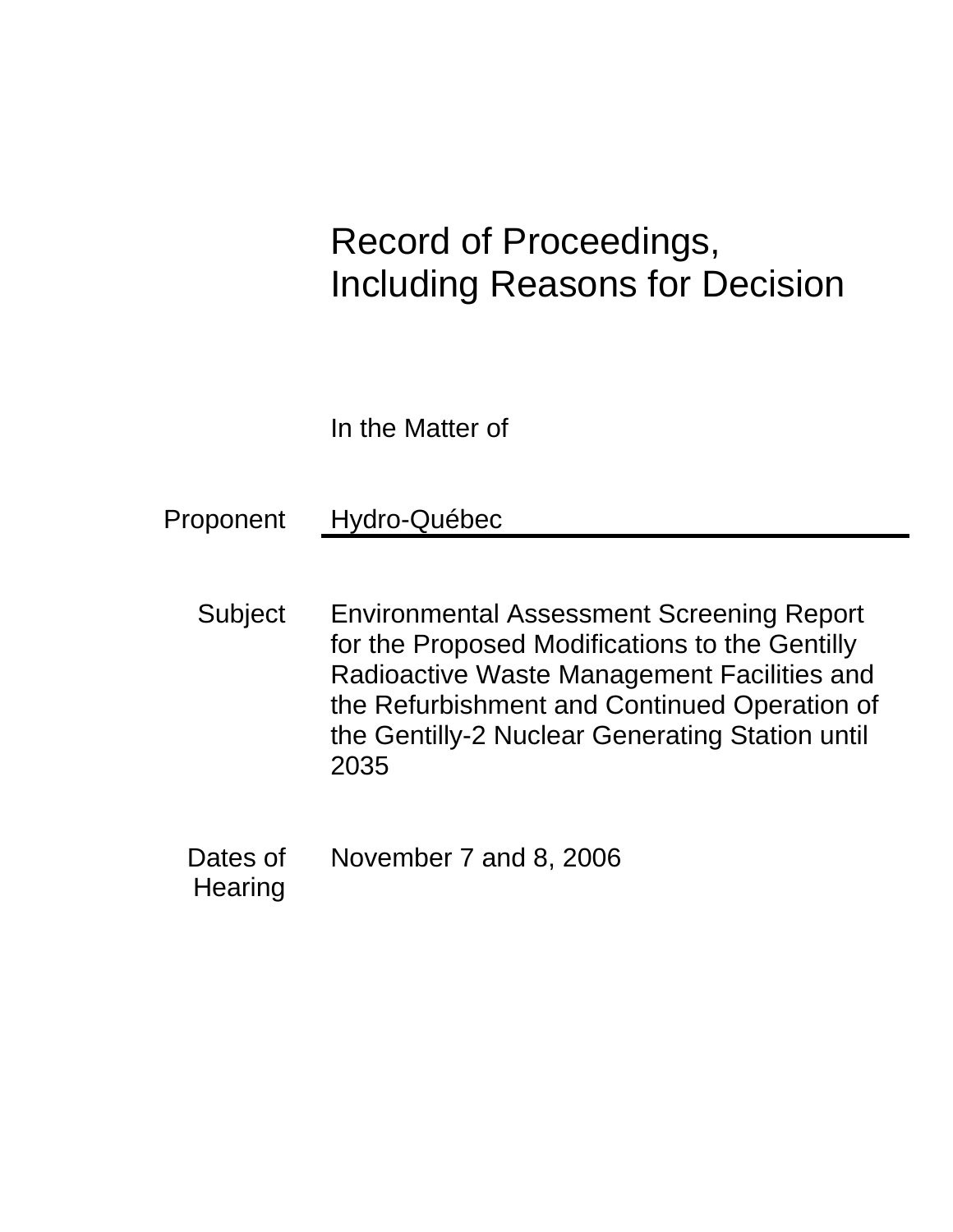# Record of Proceedings, Including Reasons for Decision

In the Matter of

Proponent Hydro-Québec

- Subject Environmental Assessment Screening Report for the Proposed Modifications to the Gentilly Radioactive Waste Management Facilities and the Refurbishment and Continued Operation of the Gentilly-2 Nuclear Generating Station until 2035
- Dates of **Hearing** November 7 and 8, 2006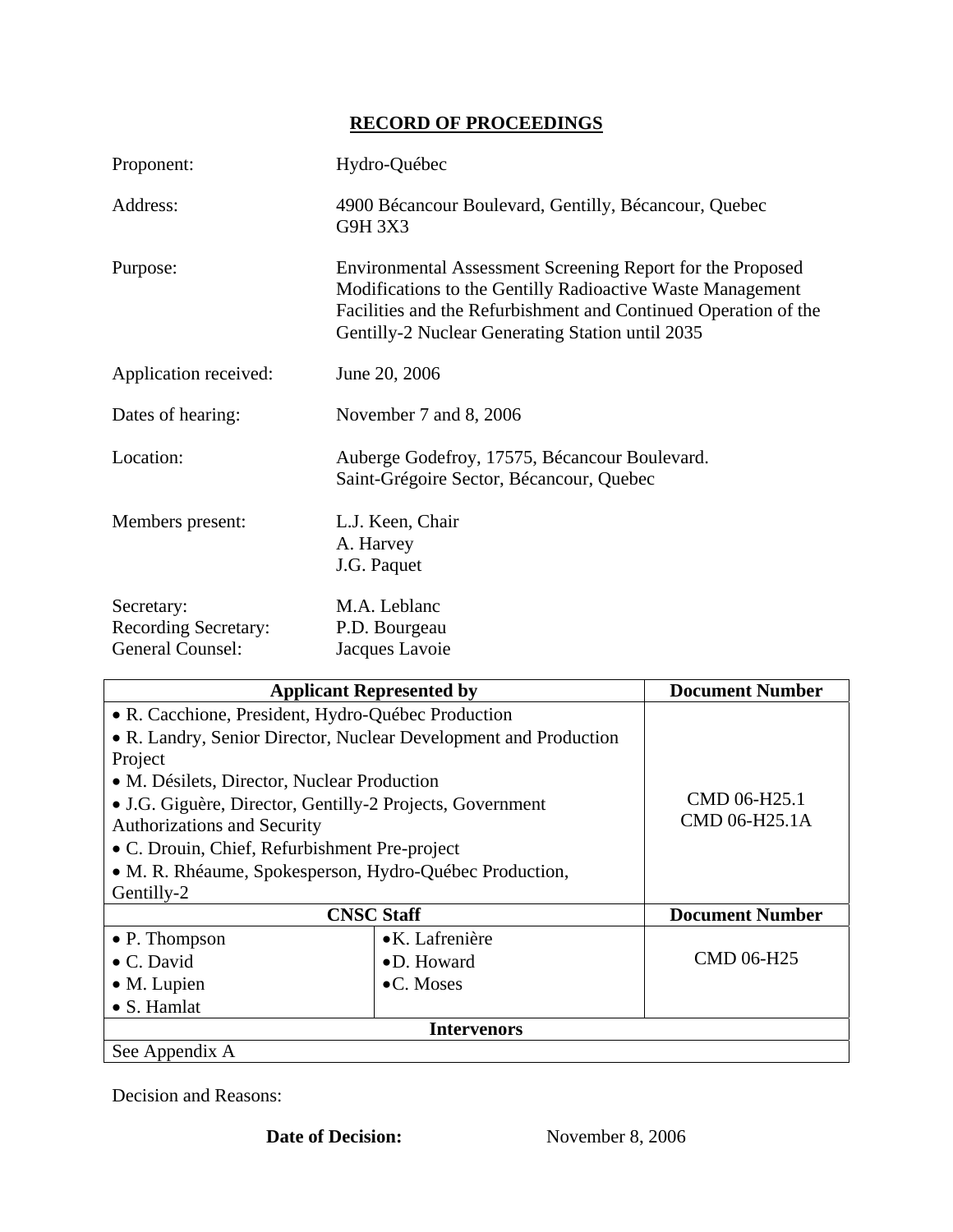# **RECORD OF PROCEEDINGS**

| Proponent:                                                    | Hydro-Québec                                                                                                                                                                                                                                    |
|---------------------------------------------------------------|-------------------------------------------------------------------------------------------------------------------------------------------------------------------------------------------------------------------------------------------------|
| Address:                                                      | 4900 Bécancour Boulevard, Gentilly, Bécancour, Quebec<br>G9H 3X3                                                                                                                                                                                |
| Purpose:                                                      | Environmental Assessment Screening Report for the Proposed<br>Modifications to the Gentilly Radioactive Waste Management<br>Facilities and the Refurbishment and Continued Operation of the<br>Gentilly-2 Nuclear Generating Station until 2035 |
| Application received:                                         | June 20, 2006                                                                                                                                                                                                                                   |
| Dates of hearing:                                             | November 7 and 8, 2006                                                                                                                                                                                                                          |
| Location:                                                     | Auberge Godefroy, 17575, Bécancour Boulevard.<br>Saint-Grégoire Sector, Bécancour, Quebec                                                                                                                                                       |
| Members present:                                              | L.J. Keen, Chair<br>A. Harvey<br>J.G. Paquet                                                                                                                                                                                                    |
| Secretary:<br><b>Recording Secretary:</b><br>General Counsel: | M.A. Leblanc<br>P.D. Bourgeau<br>Jacques Lavoie                                                                                                                                                                                                 |
|                                                               | . 19<br>n.<br>$$ $\blacksquare$<br>4 . J L<br>4 N.T.                                                                                                                                                                                            |

| <b>Applicant Represented by</b>                           |                                                                  | <b>Document Number</b> |
|-----------------------------------------------------------|------------------------------------------------------------------|------------------------|
|                                                           | • R. Cacchione, President, Hydro-Québec Production               |                        |
|                                                           | • R. Landry, Senior Director, Nuclear Development and Production |                        |
| Project                                                   |                                                                  |                        |
| • M. Désilets, Director, Nuclear Production               |                                                                  |                        |
| • J.G. Giguère, Director, Gentilly-2 Projects, Government |                                                                  | CMD 06-H25.1           |
| <b>Authorizations and Security</b>                        |                                                                  | CMD 06-H25.1A          |
| • C. Drouin, Chief, Refurbishment Pre-project             |                                                                  |                        |
|                                                           | • M. R. Rhéaume, Spokesperson, Hydro-Québec Production,          |                        |
| Gentilly-2                                                |                                                                  |                        |
| <b>CNSC Staff</b>                                         |                                                                  | <b>Document Number</b> |
| $\bullet$ P. Thompson                                     | $\bullet$ K. Lafrenière                                          |                        |
| $\bullet$ C. David                                        | $\bullet$ D. Howard                                              | <b>CMD 06-H25</b>      |
| $\bullet$ M. Lupien                                       | $\bullet$ C. Moses                                               |                        |
| • S. Hamlat                                               |                                                                  |                        |
|                                                           | Intervenors                                                      |                        |
| See Appendix A                                            |                                                                  |                        |

Decision and Reasons: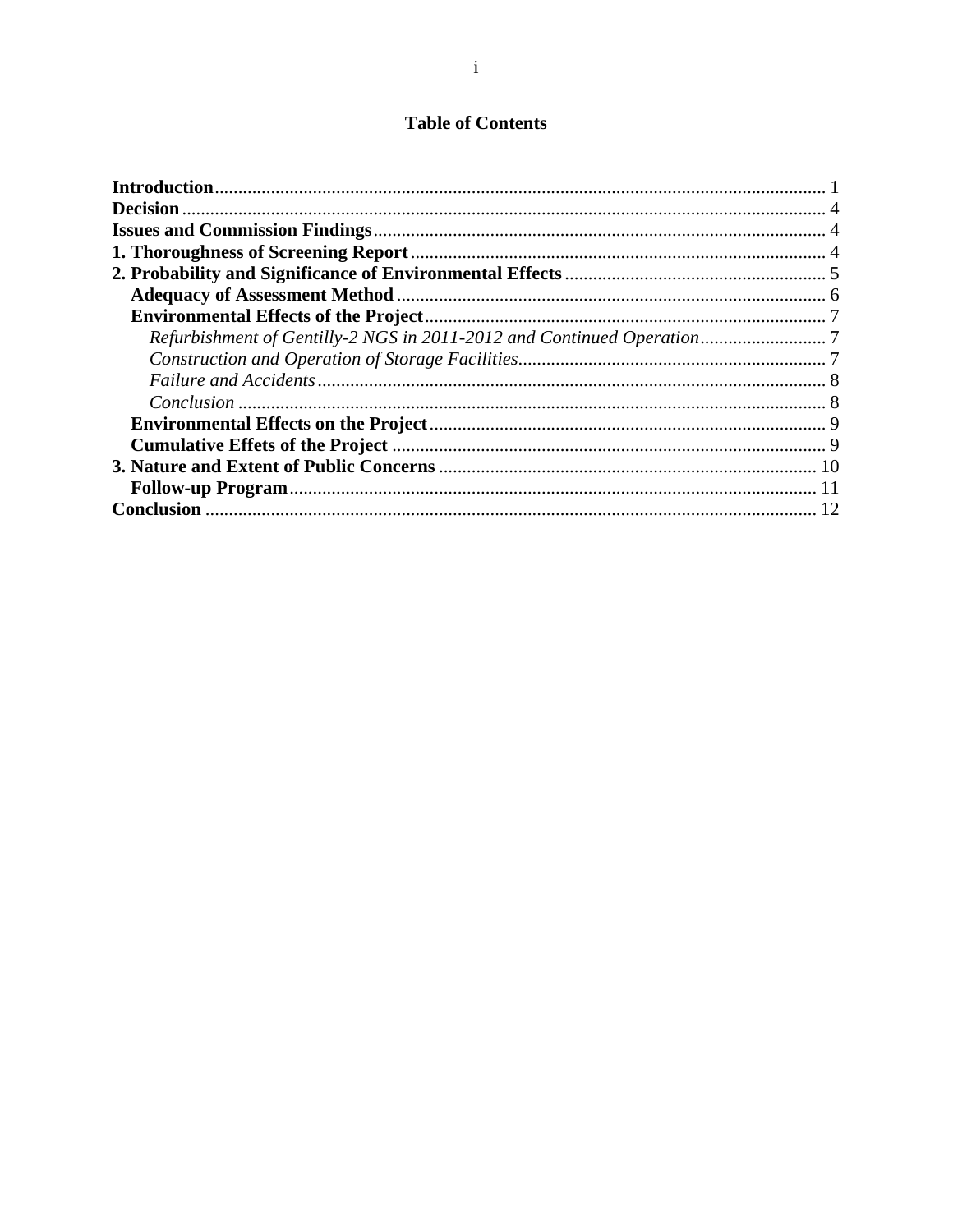# **Table of Contents**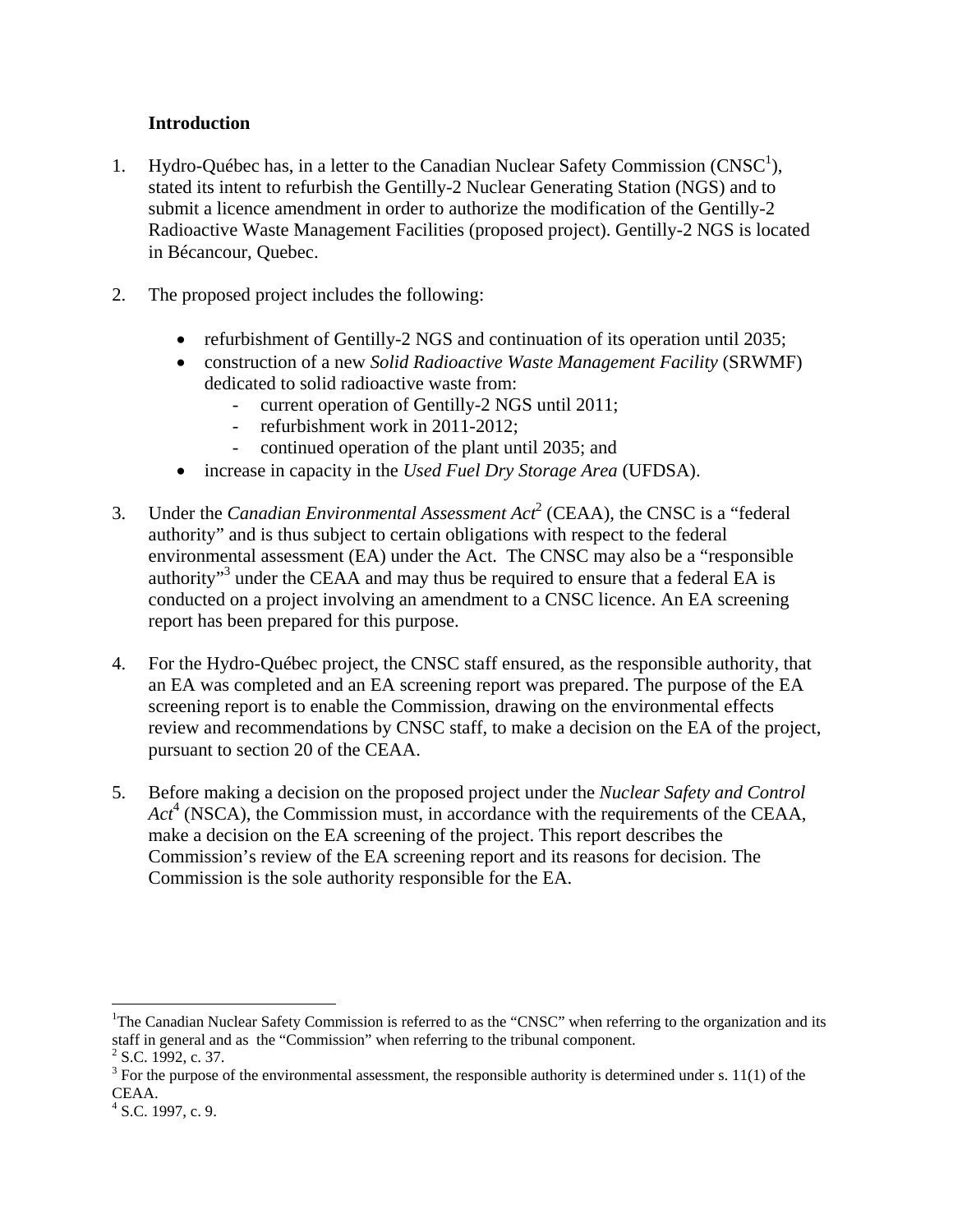## **Introduction**

- 1. Hydro-Québec has, in a letter to the Canadian Nuclear Safety Commission  $(CNSC<sup>1</sup>)$ , stated its intent to refurbish the Gentilly-2 Nuclear Generating Station (NGS) and to submit a licence amendment in order to authorize the modification of the Gentilly-2 Radioactive Waste Management Facilities (proposed project). Gentilly-2 NGS is located in Bécancour, Quebec.
- 2. The proposed project includes the following:
	- refurbishment of Gentilly-2 NGS and continuation of its operation until 2035;
	- construction of a new *Solid Radioactive Waste Management Facility* (SRWMF) dedicated to solid radioactive waste from:
		- current operation of Gentilly-2 NGS until 2011;
		- refurbishment work in 2011-2012;
		- continued operation of the plant until 2035; and
	- increase in capacity in the *Used Fuel Dry Storage Area* (UFDSA).
- 3. Under the *Canadian Environmental Assessment Act*<sup>2</sup> (CEAA), the CNSC is a "federal authority" and is thus subject to certain obligations with respect to the federal environmental assessment (EA) under the Act. The CNSC may also be a "responsible authority"<sup>3</sup> under the CEAA and may thus be required to ensure that a federal EA is conducted on a project involving an amendment to a CNSC licence. An EA screening report has been prepared for this purpose.
- 4. For the Hydro-Québec project, the CNSC staff ensured, as the responsible authority, that an EA was completed and an EA screening report was prepared. The purpose of the EA screening report is to enable the Commission, drawing on the environmental effects review and recommendations by CNSC staff, to make a decision on the EA of the project, pursuant to section 20 of the CEAA.
- 5. Before making a decision on the proposed project under the *Nuclear Safety and Control*  Act<sup>4</sup> (NSCA), the Commission must, in accordance with the requirements of the CEAA, make a decision on the EA screening of the project. This report describes the Commission's review of the EA screening report and its reasons for decision. The Commission is the sole authority responsible for the EA.

 $\overline{a}$ 

<sup>&</sup>lt;sup>1</sup>The Canadian Nuclear Safety Commission is referred to as the "CNSC" when referring to the organization and its staff in general and as the "Commission" when referring to the tribunal component.  $2^2$  S.C. 1992, c. 37.

 $3$  For the purpose of the environmental assessment, the responsible authority is determined under s. 11(1) of the CEAA.

 $4$  S.C. 1997, c. 9.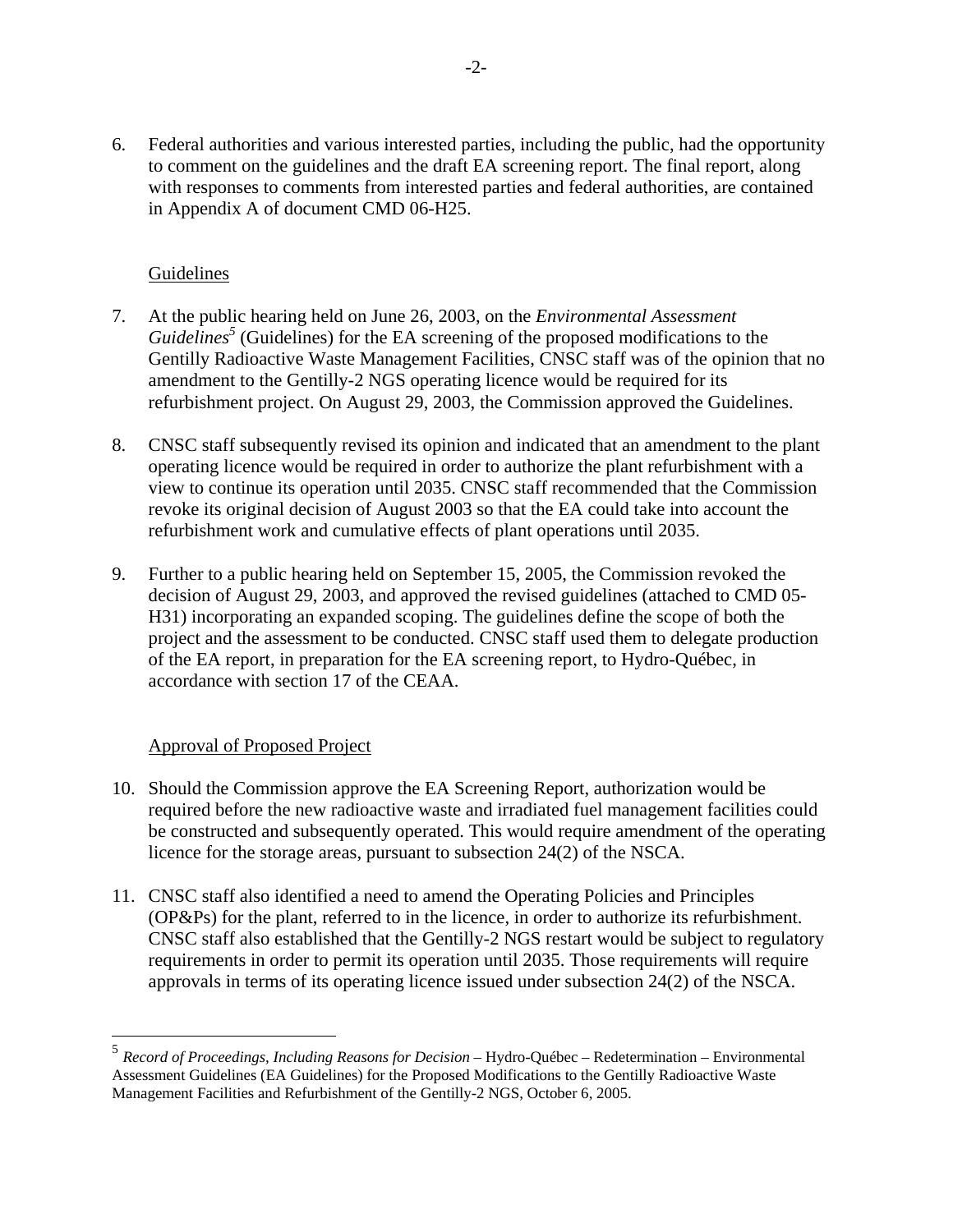6. Federal authorities and various interested parties, including the public, had the opportunity to comment on the guidelines and the draft EA screening report. The final report, along with responses to comments from interested parties and federal authorities, are contained in Appendix A of document CMD 06-H25.

## Guidelines

- 7. At the public hearing held on June 26, 2003, on the *Environmental Assessment*  Guidelines<sup>5</sup> (Guidelines) for the EA screening of the proposed modifications to the Gentilly Radioactive Waste Management Facilities, CNSC staff was of the opinion that no amendment to the Gentilly-2 NGS operating licence would be required for its refurbishment project. On August 29, 2003, the Commission approved the Guidelines.
- 8. CNSC staff subsequently revised its opinion and indicated that an amendment to the plant operating licence would be required in order to authorize the plant refurbishment with a view to continue its operation until 2035. CNSC staff recommended that the Commission revoke its original decision of August 2003 so that the EA could take into account the refurbishment work and cumulative effects of plant operations until 2035.
- 9. Further to a public hearing held on September 15, 2005, the Commission revoked the decision of August 29, 2003, and approved the revised guidelines (attached to CMD 05 H31) incorporating an expanded scoping. The guidelines define the scope of both the project and the assessment to be conducted. CNSC staff used them to delegate production of the EA report, in preparation for the EA screening report, to Hydro-Québec, in accordance with section 17 of the CEAA.

## Approval of Proposed Project

<u>.</u>

- 10. Should the Commission approve the EA Screening Report, authorization would be required before the new radioactive waste and irradiated fuel management facilities could be constructed and subsequently operated. This would require amendment of the operating licence for the storage areas, pursuant to subsection 24(2) of the NSCA.
- 11. CNSC staff also identified a need to amend the Operating Policies and Principles (OP&Ps) for the plant, referred to in the licence, in order to authorize its refurbishment. CNSC staff also established that the Gentilly-2 NGS restart would be subject to regulatory requirements in order to permit its operation until 2035. Those requirements will require approvals in terms of its operating licence issued under subsection 24(2) of the NSCA.

<sup>5</sup>*Record of Proceedings, Including Reasons for Decision* – Hydro-Québec – Redetermination – Environmental Assessment Guidelines (EA Guidelines) for the Proposed Modifications to the Gentilly Radioactive Waste Management Facilities and Refurbishment of the Gentilly-2 NGS, October 6, 2005.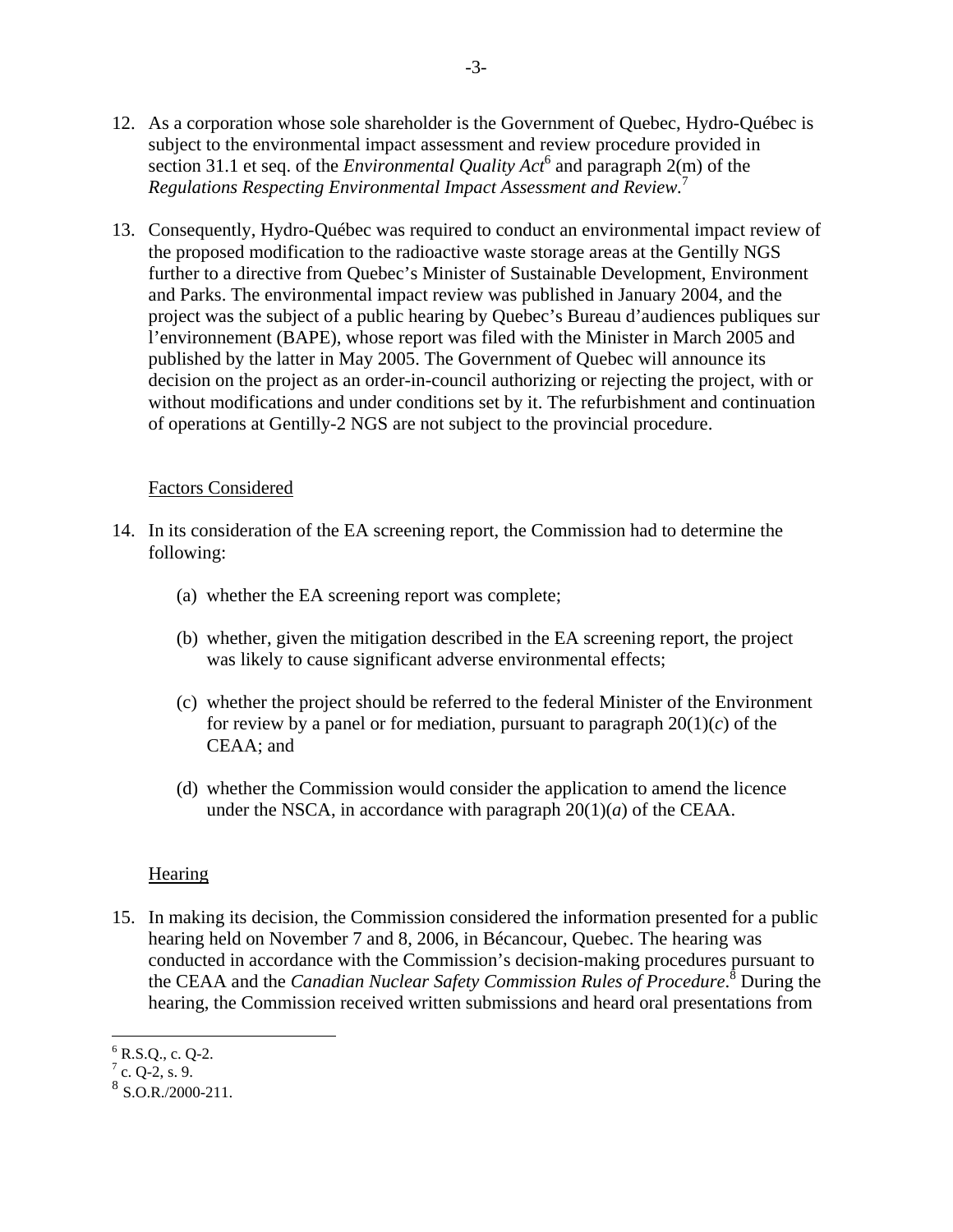- 12. As a corporation whose sole shareholder is the Government of Quebec, Hydro-Québec is subject to the environmental impact assessment and review procedure provided in section 31.1 et seq. of the *Environmental Quality Act*<sup>6</sup> and paragraph  $2(m)$  of the *Regulations Respecting Environmental Impact Assessment and Review.*<sup>7</sup>
- 13. Consequently, Hydro-Québec was required to conduct an environmental impact review of the proposed modification to the radioactive waste storage areas at the Gentilly NGS further to a directive from Quebec's Minister of Sustainable Development, Environment and Parks. The environmental impact review was published in January 2004, and the project was the subject of a public hearing by Quebec's Bureau d'audiences publiques sur l'environnement (BAPE), whose report was filed with the Minister in March 2005 and published by the latter in May 2005. The Government of Quebec will announce its decision on the project as an order-in-council authorizing or rejecting the project, with or without modifications and under conditions set by it. The refurbishment and continuation of operations at Gentilly-2 NGS are not subject to the provincial procedure.

#### Factors Considered

- 14. In its consideration of the EA screening report, the Commission had to determine the following:
	- (a) whether the EA screening report was complete;
	- (b) whether, given the mitigation described in the EA screening report, the project was likely to cause significant adverse environmental effects;
	- (c) whether the project should be referred to the federal Minister of the Environment for review by a panel or for mediation, pursuant to paragraph  $20(1)(c)$  of the CEAA; and
	- (d) whether the Commission would consider the application to amend the licence under the NSCA, in accordance with paragraph  $20(1)(a)$  of the CEAA.

#### **Hearing**

15. In making its decision, the Commission considered the information presented for a public hearing held on November 7 and 8, 2006, in Bécancour, Quebec. The hearing was conducted in accordance with the Commission's decision-making procedures pursuant to the CEAA and the *Canadian Nuclear Safety Commission Rules of Procedure*.<sup>8</sup> During the hearing, the Commission received written submissions and heard oral presentations from

 $\overline{a}$  $6$  R.S.Q., c. Q-2.

 $7$  c. Q-2, s. 9.

 $8$  S.O.R./2000-211.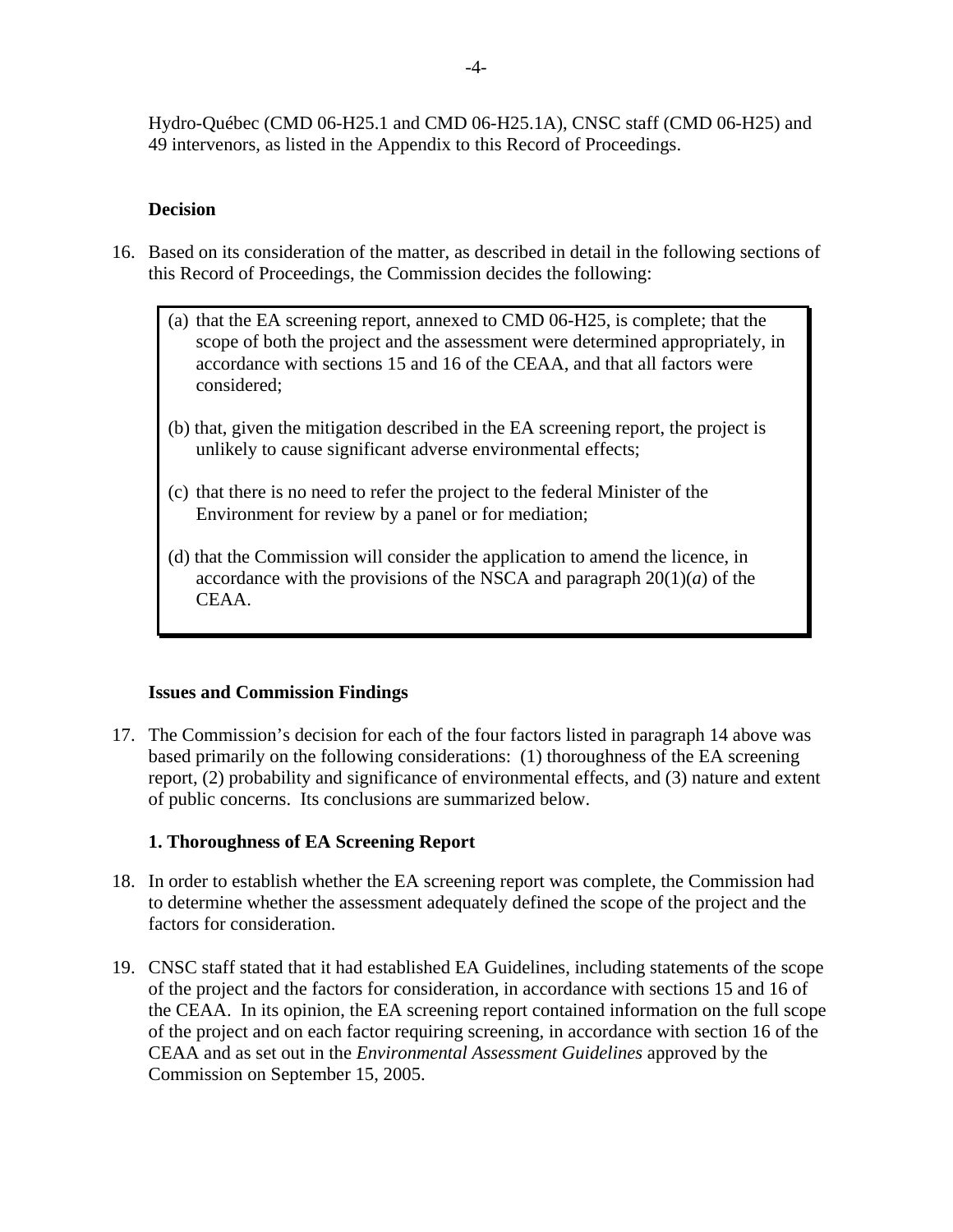Hydro-Québec (CMD 06-H25.1 and CMD 06-H25.1A), CNSC staff (CMD 06-H25) and

49 intervenors, as listed in the Appendix to this Record of Proceedings.

#### **Decision**

- 16. Based on its consideration of the matter, as described in detail in the following sections of this Record of Proceedings, the Commission decides the following:
	- (a) that the EA screening report, annexed to CMD 06-H25, is complete; that the scope of both the project and the assessment were determined appropriately, in accordance with sections 15 and 16 of the CEAA, and that all factors were considered;
	- (b) that, given the mitigation described in the EA screening report, the project is unlikely to cause significant adverse environmental effects;
	- (c) that there is no need to refer the project to the federal Minister of the Environment for review by a panel or for mediation;
	- (d) that the Commission will consider the application to amend the licence, in accordance with the provisions of the NSCA and paragraph  $20(1)(a)$  of the CEAA.

#### **Issues and Commission Findings**

17. The Commission's decision for each of the four factors listed in paragraph 14 above was based primarily on the following considerations: (1) thoroughness of the EA screening report, (2) probability and significance of environmental effects, and (3) nature and extent of public concerns. Its conclusions are summarized below.

#### **1. Thoroughness of EA Screening Report**

- 18. In order to establish whether the EA screening report was complete, the Commission had to determine whether the assessment adequately defined the scope of the project and the factors for consideration.
- 19. CNSC staff stated that it had established EA Guidelines, including statements of the scope of the project and the factors for consideration, in accordance with sections 15 and 16 of the CEAA. In its opinion, the EA screening report contained information on the full scope of the project and on each factor requiring screening, in accordance with section 16 of the CEAA and as set out in the *Environmental Assessment Guidelines* approved by the Commission on September 15, 2005.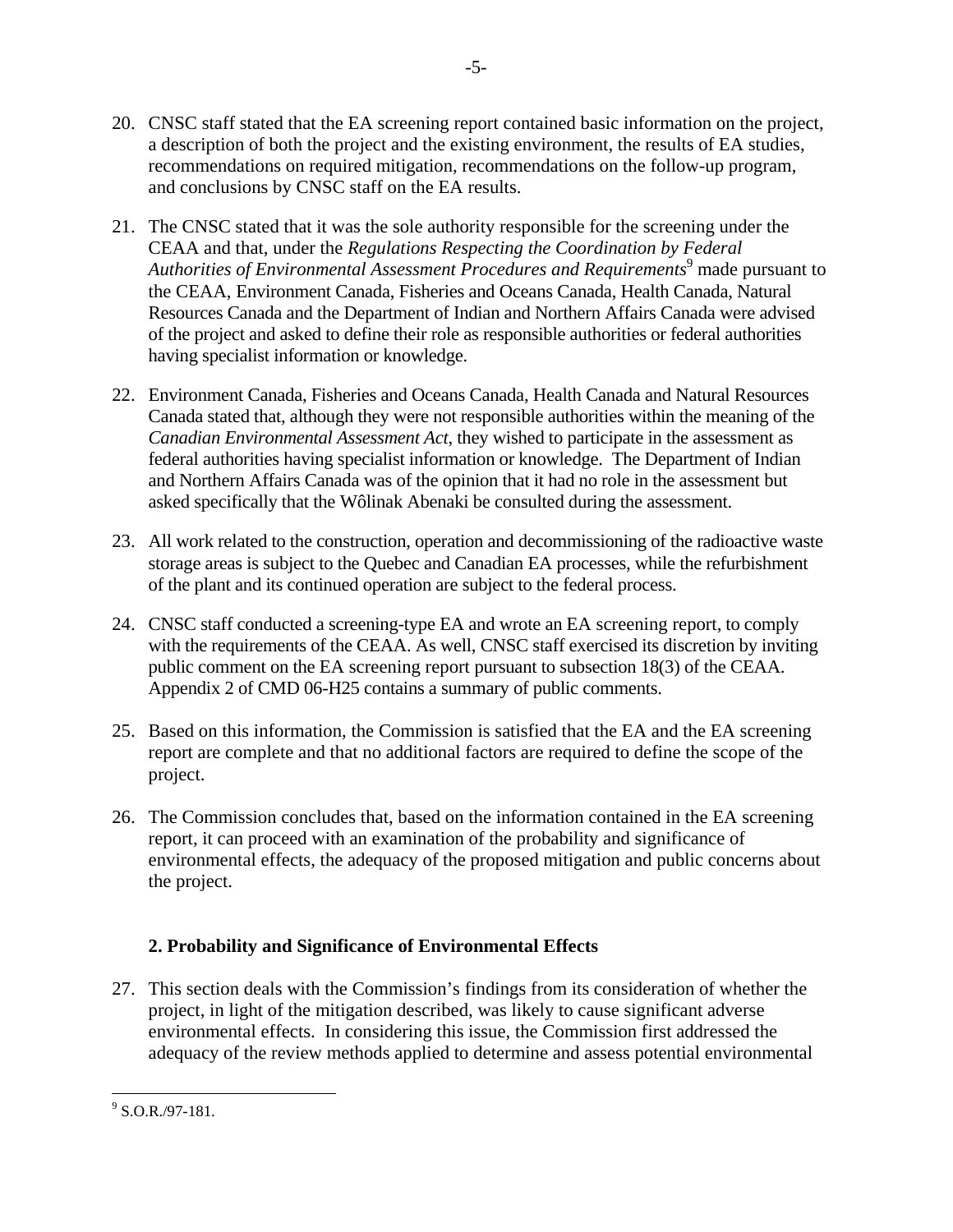- 20. CNSC staff stated that the EA screening report contained basic information on the project, a description of both the project and the existing environment, the results of EA studies, recommendations on required mitigation, recommendations on the follow-up program, and conclusions by CNSC staff on the EA results.
- 21. The CNSC stated that it was the sole authority responsible for the screening under the CEAA and that, under the *Regulations Respecting the Coordination by Federal Authorities of Environmental Assessment Procedures and Requirements*9 made pursuant to the CEAA, Environment Canada, Fisheries and Oceans Canada, Health Canada, Natural Resources Canada and the Department of Indian and Northern Affairs Canada were advised of the project and asked to define their role as responsible authorities or federal authorities having specialist information or knowledge.
- 22. Environment Canada, Fisheries and Oceans Canada, Health Canada and Natural Resources Canada stated that, although they were not responsible authorities within the meaning of the *Canadian Environmental Assessment Act*, they wished to participate in the assessment as federal authorities having specialist information or knowledge. The Department of Indian and Northern Affairs Canada was of the opinion that it had no role in the assessment but asked specifically that the Wôlinak Abenaki be consulted during the assessment.
- 23. All work related to the construction, operation and decommissioning of the radioactive waste storage areas is subject to the Quebec and Canadian EA processes, while the refurbishment of the plant and its continued operation are subject to the federal process.
- 24. CNSC staff conducted a screening-type EA and wrote an EA screening report, to comply with the requirements of the CEAA. As well, CNSC staff exercised its discretion by inviting public comment on the EA screening report pursuant to subsection 18(3) of the CEAA. Appendix 2 of CMD 06-H25 contains a summary of public comments.
- 25. Based on this information, the Commission is satisfied that the EA and the EA screening report are complete and that no additional factors are required to define the scope of the project.
- 26. The Commission concludes that, based on the information contained in the EA screening report, it can proceed with an examination of the probability and significance of environmental effects, the adequacy of the proposed mitigation and public concerns about the project.

# **2. Probability and Significance of Environmental Effects**

27. This section deals with the Commission's findings from its consideration of whether the project, in light of the mitigation described, was likely to cause significant adverse environmental effects. In considering this issue, the Commission first addressed the adequacy of the review methods applied to determine and assess potential environmental

 $\frac{9}{9}$  S.O.R./97-181.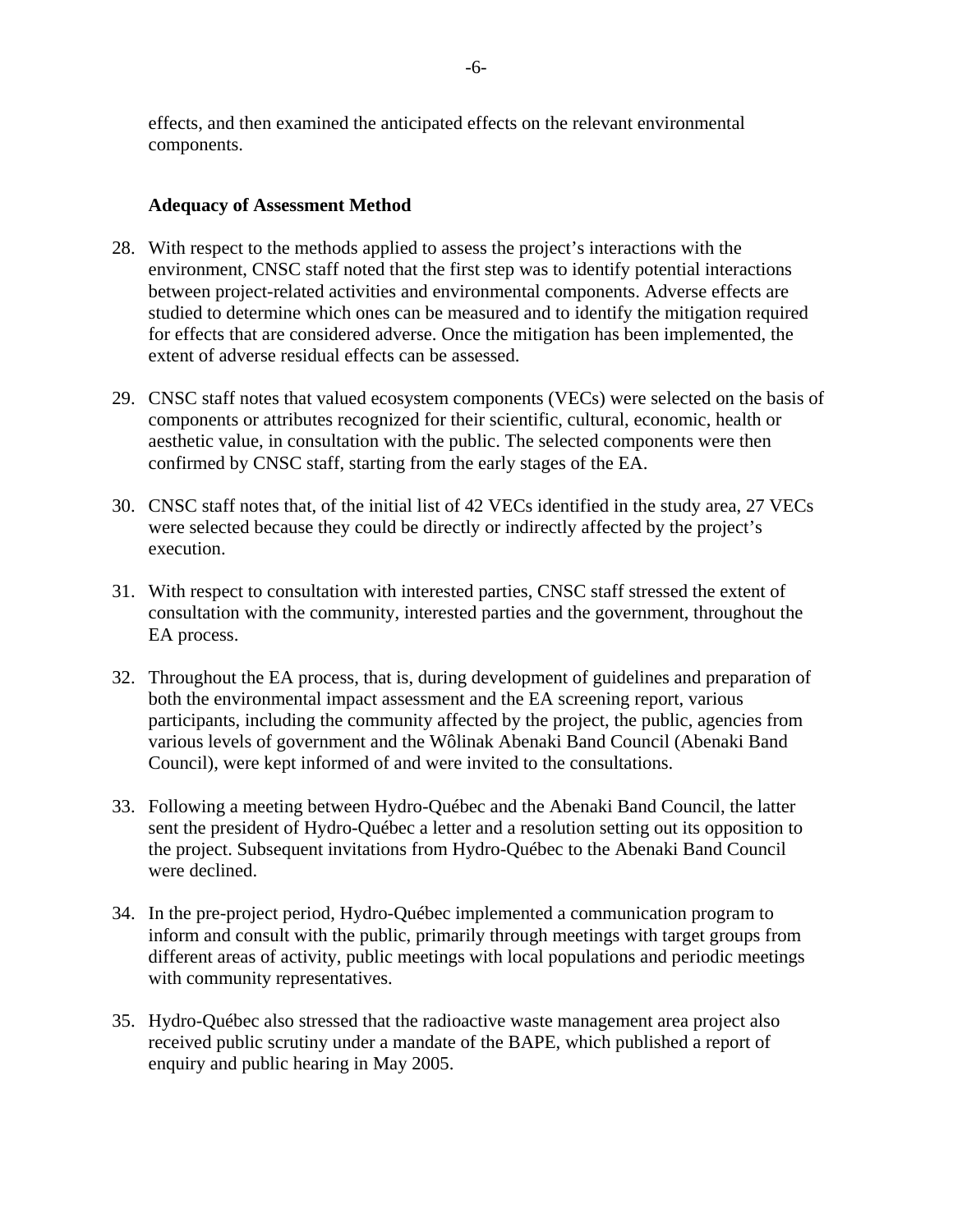effects, and then examined the anticipated effects on the relevant environmental components.

#### **Adequacy of Assessment Method**

- 28. With respect to the methods applied to assess the project's interactions with the environment, CNSC staff noted that the first step was to identify potential interactions between project-related activities and environmental components. Adverse effects are studied to determine which ones can be measured and to identify the mitigation required for effects that are considered adverse. Once the mitigation has been implemented, the extent of adverse residual effects can be assessed.
- 29. CNSC staff notes that valued ecosystem components (VECs) were selected on the basis of components or attributes recognized for their scientific, cultural, economic, health or aesthetic value, in consultation with the public. The selected components were then confirmed by CNSC staff, starting from the early stages of the EA.
- 30. CNSC staff notes that, of the initial list of 42 VECs identified in the study area, 27 VECs were selected because they could be directly or indirectly affected by the project's execution.
- 31. With respect to consultation with interested parties, CNSC staff stressed the extent of consultation with the community, interested parties and the government, throughout the EA process.
- 32. Throughout the EA process, that is, during development of guidelines and preparation of both the environmental impact assessment and the EA screening report, various participants, including the community affected by the project, the public, agencies from various levels of government and the Wôlinak Abenaki Band Council (Abenaki Band Council), were kept informed of and were invited to the consultations.
- 33. Following a meeting between Hydro-Québec and the Abenaki Band Council, the latter sent the president of Hydro-Québec a letter and a resolution setting out its opposition to the project. Subsequent invitations from Hydro-Québec to the Abenaki Band Council were declined.
- 34. In the pre-project period, Hydro-Québec implemented a communication program to inform and consult with the public, primarily through meetings with target groups from different areas of activity, public meetings with local populations and periodic meetings with community representatives.
- 35. Hydro-Québec also stressed that the radioactive waste management area project also received public scrutiny under a mandate of the BAPE, which published a report of enquiry and public hearing in May 2005.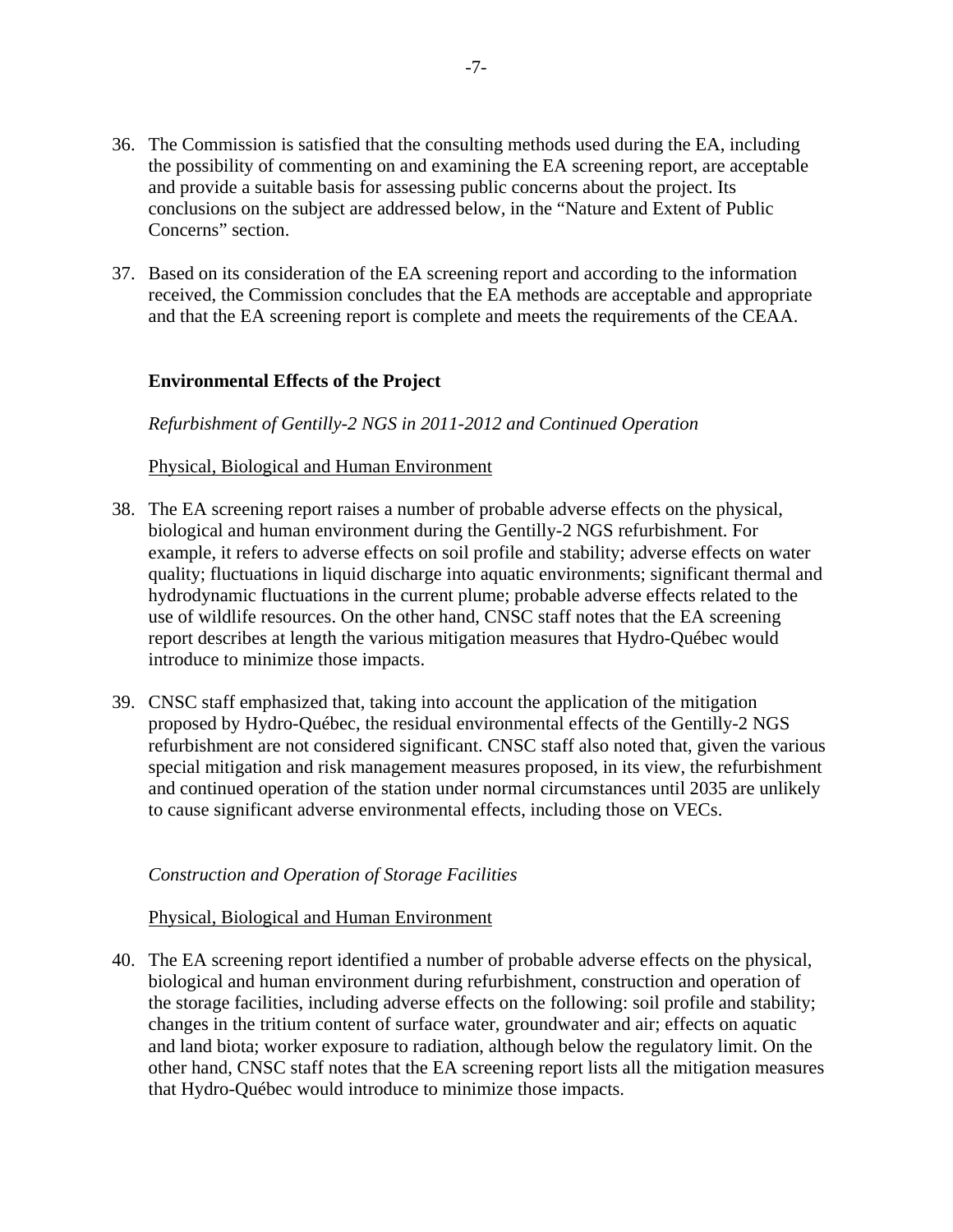- 36. The Commission is satisfied that the consulting methods used during the EA, including the possibility of commenting on and examining the EA screening report, are acceptable and provide a suitable basis for assessing public concerns about the project. Its conclusions on the subject are addressed below*,* in the "Nature and Extent of Public Concerns" section.
- 37. Based on its consideration of the EA screening report and according to the information received, the Commission concludes that the EA methods are acceptable and appropriate and that the EA screening report is complete and meets the requirements of the CEAA.

### **Environmental Effects of the Project**

*Refurbishment of Gentilly-2 NGS in 2011-2012 and Continued Operation* 

#### Physical, Biological and Human Environment

- 38. The EA screening report raises a number of probable adverse effects on the physical, biological and human environment during the Gentilly-2 NGS refurbishment. For example, it refers to adverse effects on soil profile and stability; adverse effects on water quality; fluctuations in liquid discharge into aquatic environments; significant thermal and hydrodynamic fluctuations in the current plume; probable adverse effects related to the use of wildlife resources. On the other hand, CNSC staff notes that the EA screening report describes at length the various mitigation measures that Hydro-Québec would introduce to minimize those impacts.
- 39. CNSC staff emphasized that, taking into account the application of the mitigation proposed by Hydro-Québec, the residual environmental effects of the Gentilly-2 NGS refurbishment are not considered significant. CNSC staff also noted that, given the various special mitigation and risk management measures proposed, in its view, the refurbishment and continued operation of the station under normal circumstances until 2035 are unlikely to cause significant adverse environmental effects, including those on VECs.

#### *Construction and Operation of Storage Facilities*

#### Physical, Biological and Human Environment

40. The EA screening report identified a number of probable adverse effects on the physical, biological and human environment during refurbishment, construction and operation of the storage facilities, including adverse effects on the following: soil profile and stability; changes in the tritium content of surface water, groundwater and air; effects on aquatic and land biota; worker exposure to radiation, although below the regulatory limit. On the other hand, CNSC staff notes that the EA screening report lists all the mitigation measures that Hydro-Québec would introduce to minimize those impacts.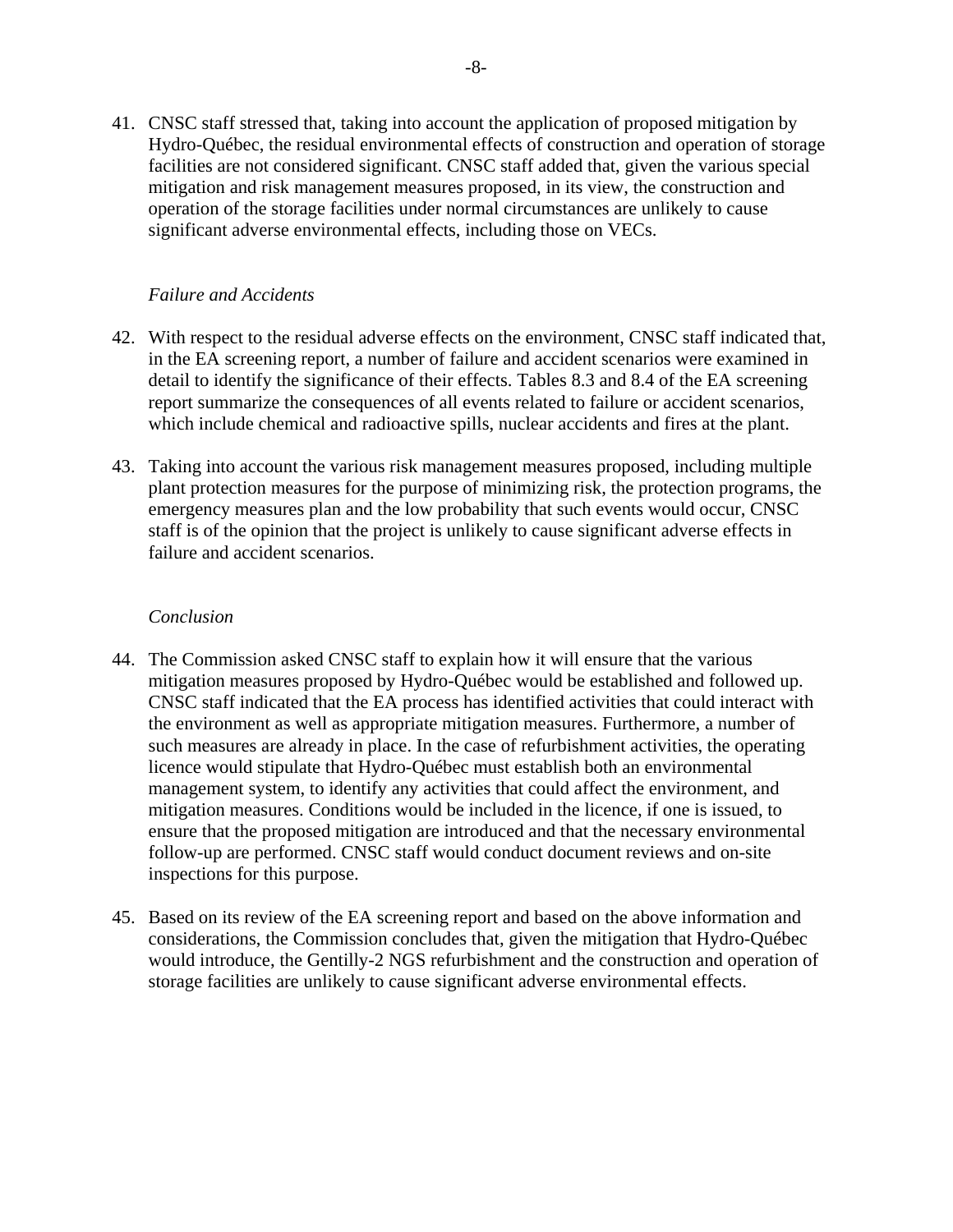41. CNSC staff stressed that, taking into account the application of proposed mitigation by Hydro-Québec, the residual environmental effects of construction and operation of storage facilities are not considered significant. CNSC staff added that, given the various special mitigation and risk management measures proposed, in its view, the construction and operation of the storage facilities under normal circumstances are unlikely to cause significant adverse environmental effects, including those on VECs.

#### *Failure and Accidents*

- 42. With respect to the residual adverse effects on the environment, CNSC staff indicated that, in the EA screening report, a number of failure and accident scenarios were examined in detail to identify the significance of their effects. Tables 8.3 and 8.4 of the EA screening report summarize the consequences of all events related to failure or accident scenarios, which include chemical and radioactive spills, nuclear accidents and fires at the plant.
- 43. Taking into account the various risk management measures proposed, including multiple plant protection measures for the purpose of minimizing risk, the protection programs, the emergency measures plan and the low probability that such events would occur, CNSC staff is of the opinion that the project is unlikely to cause significant adverse effects in failure and accident scenarios.

#### *Conclusion*

- 44. The Commission asked CNSC staff to explain how it will ensure that the various mitigation measures proposed by Hydro-Québec would be established and followed up. CNSC staff indicated that the EA process has identified activities that could interact with the environment as well as appropriate mitigation measures. Furthermore, a number of such measures are already in place. In the case of refurbishment activities, the operating licence would stipulate that Hydro-Québec must establish both an environmental management system, to identify any activities that could affect the environment, and mitigation measures. Conditions would be included in the licence, if one is issued, to ensure that the proposed mitigation are introduced and that the necessary environmental follow-up are performed. CNSC staff would conduct document reviews and on-site inspections for this purpose.
- 45. Based on its review of the EA screening report and based on the above information and considerations, the Commission concludes that, given the mitigation that Hydro-Québec would introduce, the Gentilly-2 NGS refurbishment and the construction and operation of storage facilities are unlikely to cause significant adverse environmental effects.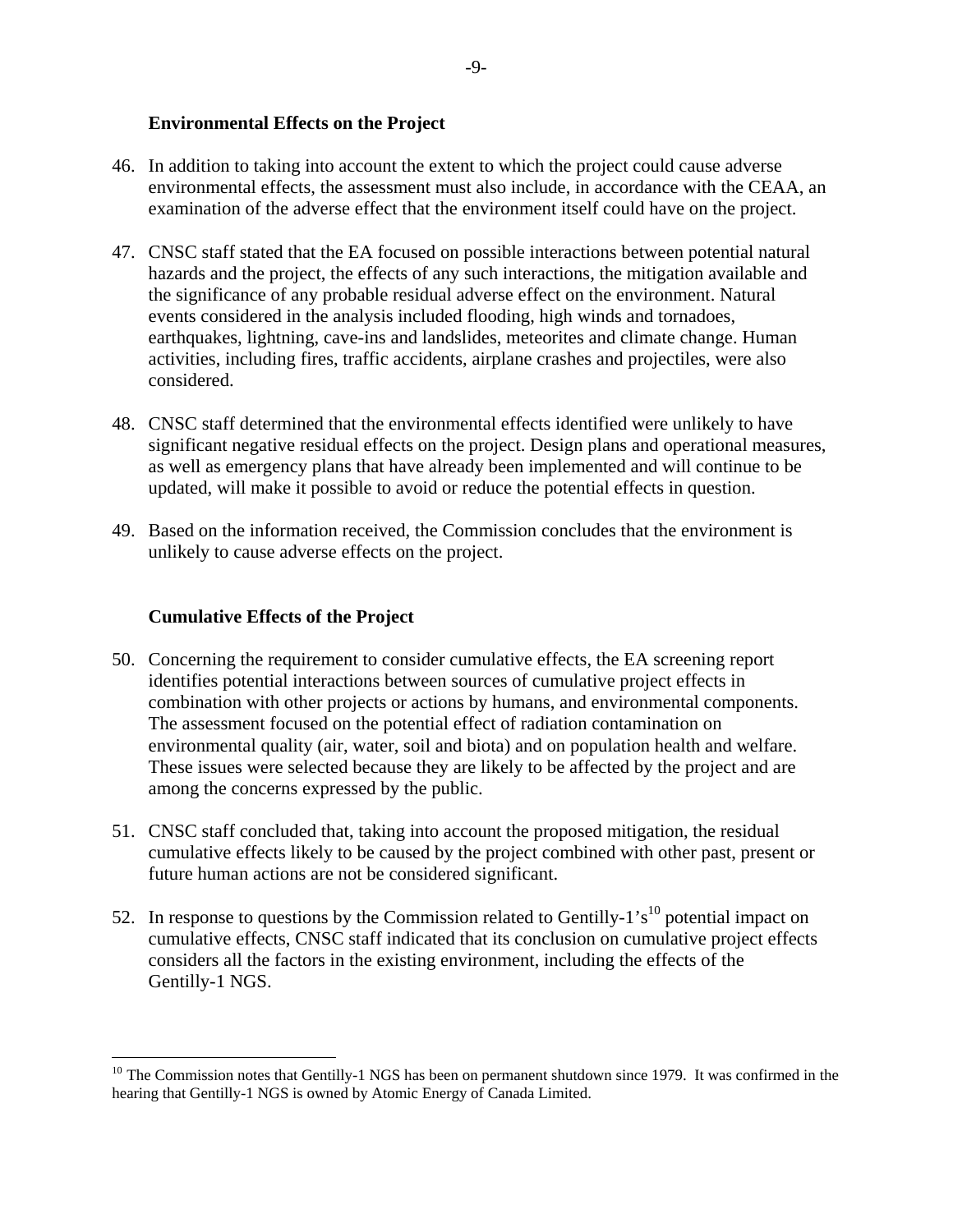### **Environmental Effects on the Project**

- 46. In addition to taking into account the extent to which the project could cause adverse environmental effects, the assessment must also include, in accordance with the CEAA, an examination of the adverse effect that the environment itself could have on the project.
- 47. CNSC staff stated that the EA focused on possible interactions between potential natural hazards and the project, the effects of any such interactions, the mitigation available and the significance of any probable residual adverse effect on the environment. Natural events considered in the analysis included flooding, high winds and tornadoes, earthquakes, lightning, cave-ins and landslides, meteorites and climate change. Human activities, including fires, traffic accidents, airplane crashes and projectiles, were also considered.
- 48. CNSC staff determined that the environmental effects identified were unlikely to have significant negative residual effects on the project. Design plans and operational measures, as well as emergency plans that have already been implemented and will continue to be updated, will make it possible to avoid or reduce the potential effects in question.
- 49. Based on the information received, the Commission concludes that the environment is unlikely to cause adverse effects on the project.

## **Cumulative Effects of the Project**

 $\overline{a}$ 

- 50. Concerning the requirement to consider cumulative effects, the EA screening report identifies potential interactions between sources of cumulative project effects in combination with other projects or actions by humans, and environmental components. The assessment focused on the potential effect of radiation contamination on environmental quality (air, water, soil and biota) and on population health and welfare. These issues were selected because they are likely to be affected by the project and are among the concerns expressed by the public.
- 51. CNSC staff concluded that, taking into account the proposed mitigation, the residual cumulative effects likely to be caused by the project combined with other past, present or future human actions are not be considered significant.
- 52. In response to questions by the Commission related to Gentilly-1's<sup>10</sup> potential impact on cumulative effects, CNSC staff indicated that its conclusion on cumulative project effects considers all the factors in the existing environment, including the effects of the Gentilly-1 NGS.

<sup>&</sup>lt;sup>10</sup> The Commission notes that Gentilly-1 NGS has been on permanent shutdown since 1979. It was confirmed in the hearing that Gentilly-1 NGS is owned by Atomic Energy of Canada Limited.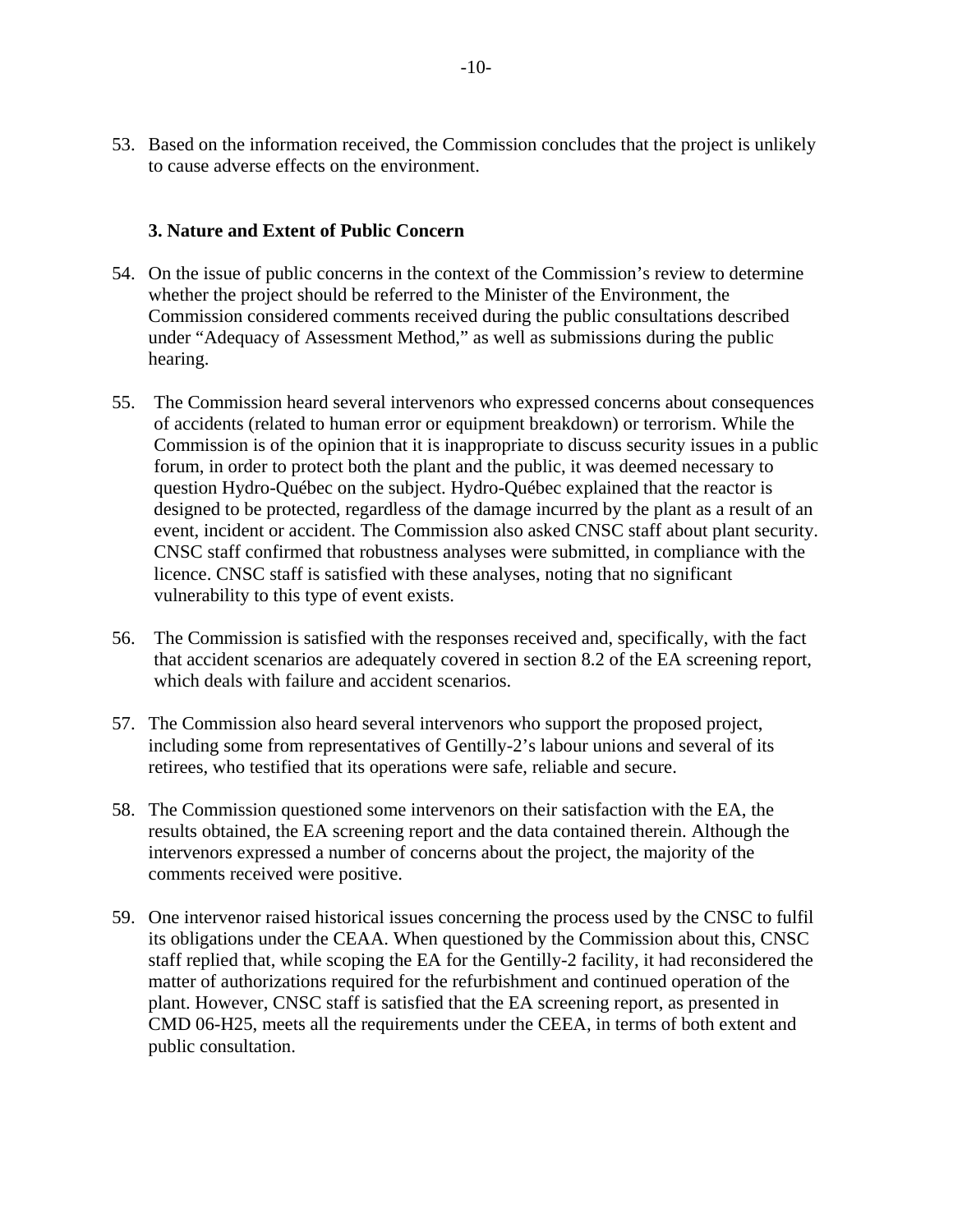53. Based on the information received, the Commission concludes that the project is unlikely to cause adverse effects on the environment.

### **3. Nature and Extent of Public Concern**

- 54. On the issue of public concerns in the context of the Commission's review to determine whether the project should be referred to the Minister of the Environment, the Commission considered comments received during the public consultations described under "Adequacy of Assessment Method," as well as submissions during the public hearing.
- 55. The Commission heard several intervenors who expressed concerns about consequences of accidents (related to human error or equipment breakdown) or terrorism. While the Commission is of the opinion that it is inappropriate to discuss security issues in a public forum, in order to protect both the plant and the public, it was deemed necessary to question Hydro-Québec on the subject. Hydro-Québec explained that the reactor is designed to be protected, regardless of the damage incurred by the plant as a result of an event, incident or accident. The Commission also asked CNSC staff about plant security. CNSC staff confirmed that robustness analyses were submitted, in compliance with the licence. CNSC staff is satisfied with these analyses, noting that no significant vulnerability to this type of event exists.
- 56. The Commission is satisfied with the responses received and, specifically, with the fact that accident scenarios are adequately covered in section 8.2 of the EA screening report, which deals with failure and accident scenarios.
- 57. The Commission also heard several intervenors who support the proposed project, including some from representatives of Gentilly-2's labour unions and several of its retirees, who testified that its operations were safe, reliable and secure.
- 58. The Commission questioned some intervenors on their satisfaction with the EA, the results obtained, the EA screening report and the data contained therein. Although the intervenors expressed a number of concerns about the project, the majority of the comments received were positive.
- 59. One intervenor raised historical issues concerning the process used by the CNSC to fulfil its obligations under the CEAA. When questioned by the Commission about this, CNSC staff replied that, while scoping the EA for the Gentilly-2 facility, it had reconsidered the matter of authorizations required for the refurbishment and continued operation of the plant. However, CNSC staff is satisfied that the EA screening report, as presented in CMD 06-H25, meets all the requirements under the CEEA, in terms of both extent and public consultation.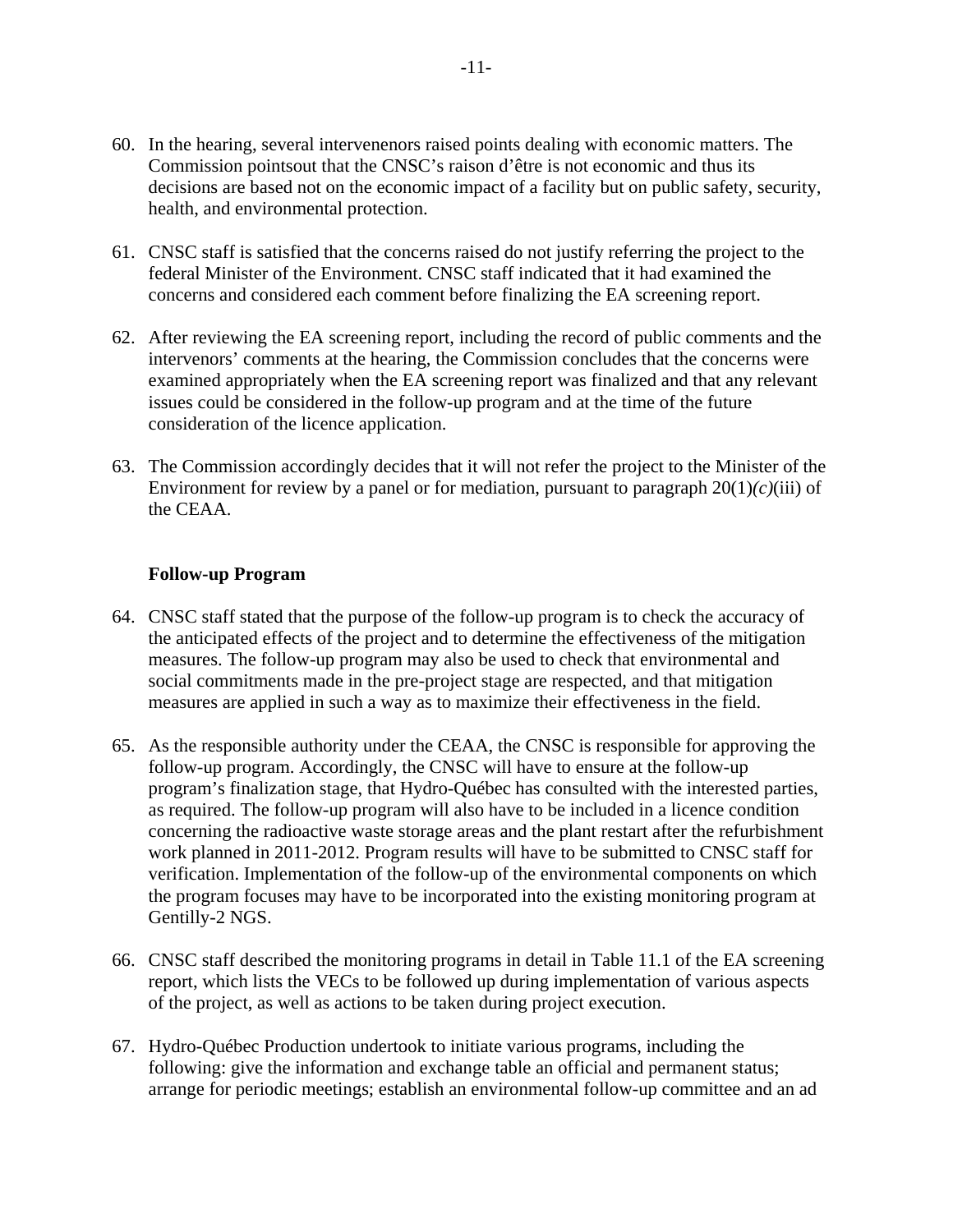- 60. In the hearing, several intervenenors raised points dealing with economic matters. The Commission pointsout that the CNSC's raison d'être is not economic and thus its decisions are based not on the economic impact of a facility but on public safety, security, health, and environmental protection.
- 61. CNSC staff is satisfied that the concerns raised do not justify referring the project to the federal Minister of the Environment. CNSC staff indicated that it had examined the concerns and considered each comment before finalizing the EA screening report.
- 62. After reviewing the EA screening report, including the record of public comments and the intervenors' comments at the hearing, the Commission concludes that the concerns were examined appropriately when the EA screening report was finalized and that any relevant issues could be considered in the follow-up program and at the time of the future consideration of the licence application.
- 63. The Commission accordingly decides that it will not refer the project to the Minister of the Environment for review by a panel or for mediation, pursuant to paragraph 20(1)*(c)*(iii) of the CEAA.

#### **Follow-up Program**

- 64. CNSC staff stated that the purpose of the follow-up program is to check the accuracy of the anticipated effects of the project and to determine the effectiveness of the mitigation measures. The follow-up program may also be used to check that environmental and social commitments made in the pre-project stage are respected, and that mitigation measures are applied in such a way as to maximize their effectiveness in the field.
- 65. As the responsible authority under the CEAA, the CNSC is responsible for approving the follow-up program. Accordingly, the CNSC will have to ensure at the follow-up program's finalization stage, that Hydro-Québec has consulted with the interested parties, as required. The follow-up program will also have to be included in a licence condition concerning the radioactive waste storage areas and the plant restart after the refurbishment work planned in 2011-2012. Program results will have to be submitted to CNSC staff for verification. Implementation of the follow-up of the environmental components on which the program focuses may have to be incorporated into the existing monitoring program at Gentilly-2 NGS.
- 66. CNSC staff described the monitoring programs in detail in Table 11.1 of the EA screening report, which lists the VECs to be followed up during implementation of various aspects of the project, as well as actions to be taken during project execution.
- 67. Hydro-Québec Production undertook to initiate various programs, including the following: give the information and exchange table an official and permanent status; arrange for periodic meetings; establish an environmental follow-up committee and an ad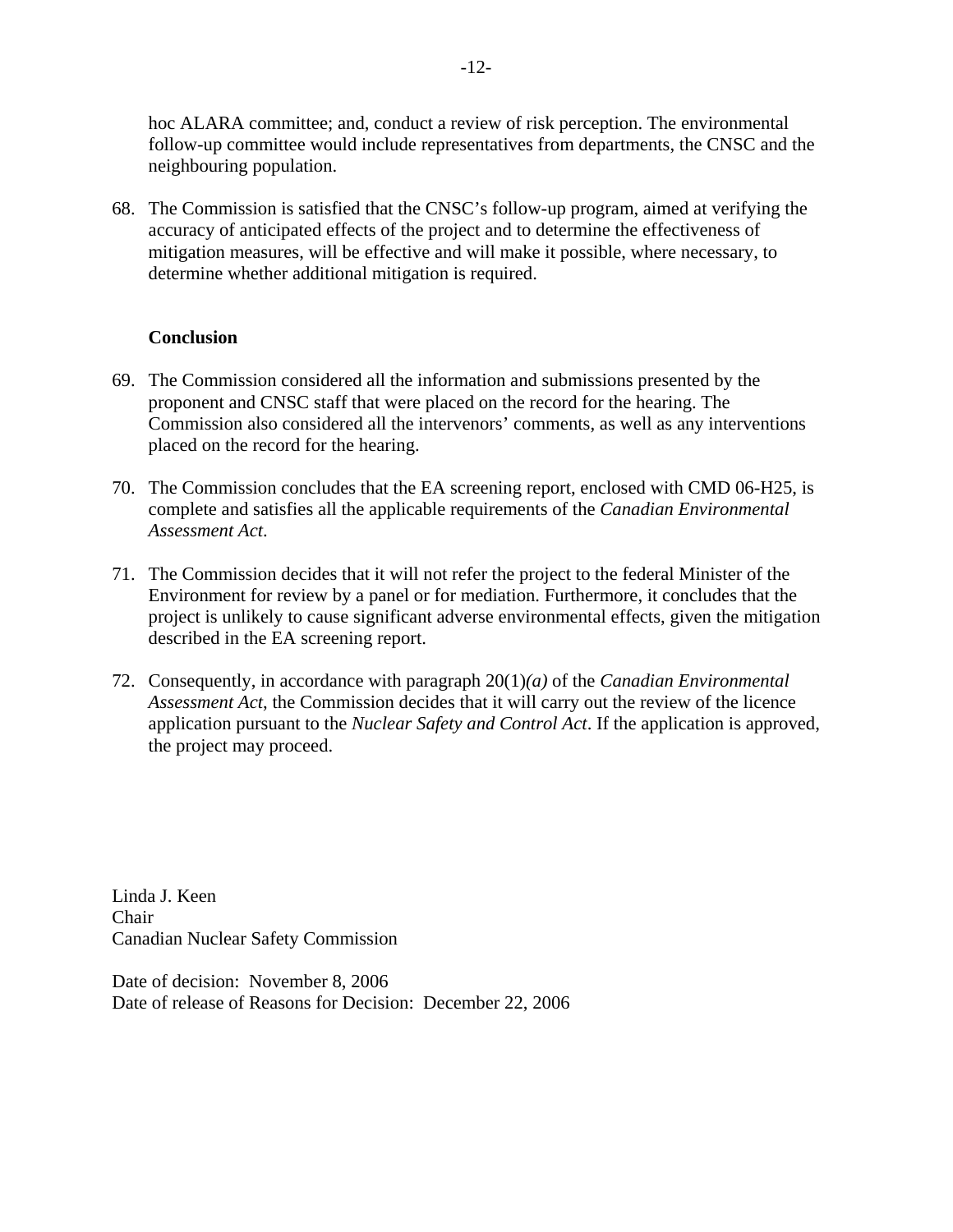hoc ALARA committee; and, conduct a review of risk perception. The environmental follow-up committee would include representatives from departments, the CNSC and the neighbouring population.

68. The Commission is satisfied that the CNSC's follow-up program, aimed at verifying the accuracy of anticipated effects of the project and to determine the effectiveness of mitigation measures, will be effective and will make it possible, where necessary, to determine whether additional mitigation is required.

### **Conclusion**

- 69. The Commission considered all the information and submissions presented by the proponent and CNSC staff that were placed on the record for the hearing. The Commission also considered all the intervenors' comments, as well as any interventions placed on the record for the hearing.
- 70. The Commission concludes that the EA screening report, enclosed with CMD 06-H25, is complete and satisfies all the applicable requirements of the *Canadian Environmental Assessment Act*.
- 71. The Commission decides that it will not refer the project to the federal Minister of the Environment for review by a panel or for mediation. Furthermore, it concludes that the project is unlikely to cause significant adverse environmental effects, given the mitigation described in the EA screening report.
- 72. Consequently, in accordance with paragraph 20(1)*(a)* of the *Canadian Environmental Assessment Act*, the Commission decides that it will carry out the review of the licence application pursuant to the *Nuclear Safety and Control Act*. If the application is approved, the project may proceed.

Linda J. Keen Chair Canadian Nuclear Safety Commission

Date of decision: November 8, 2006 Date of release of Reasons for Decision: December 22, 2006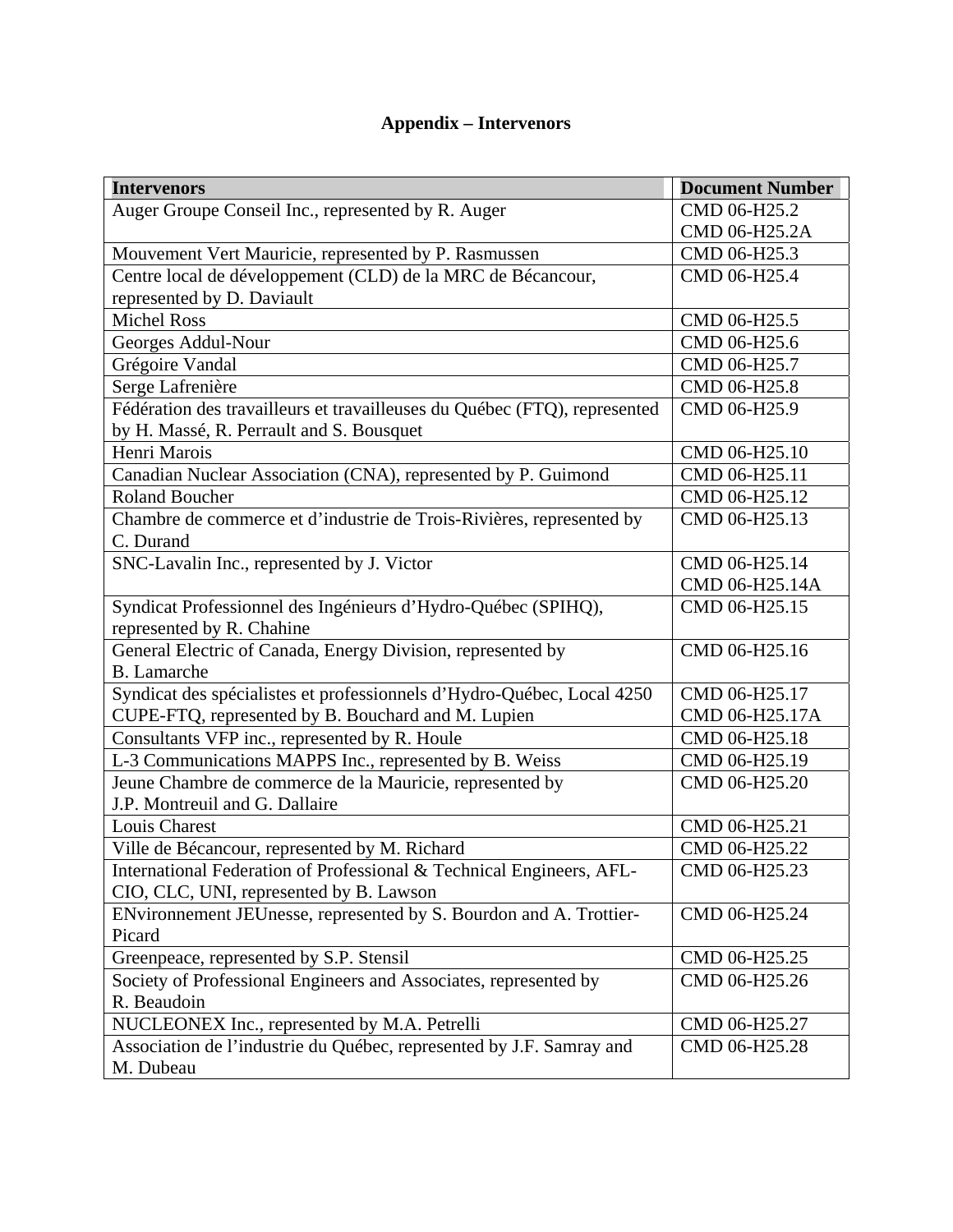# **Appendix – Intervenors**

| <b>Intervenors</b>                                                        | <b>Document Number</b> |
|---------------------------------------------------------------------------|------------------------|
| Auger Groupe Conseil Inc., represented by R. Auger                        | CMD 06-H25.2           |
|                                                                           | CMD 06-H25.2A          |
| Mouvement Vert Mauricie, represented by P. Rasmussen                      | CMD 06-H25.3           |
| Centre local de développement (CLD) de la MRC de Bécancour,               | CMD 06-H25.4           |
| represented by D. Daviault                                                |                        |
| <b>Michel Ross</b>                                                        | CMD 06-H25.5           |
| Georges Addul-Nour                                                        | CMD 06-H25.6           |
| Grégoire Vandal                                                           | CMD 06-H25.7           |
| Serge Lafrenière                                                          | CMD 06-H25.8           |
| Fédération des travailleurs et travailleuses du Québec (FTQ), represented | CMD 06-H25.9           |
| by H. Massé, R. Perrault and S. Bousquet                                  |                        |
| Henri Marois                                                              | CMD 06-H25.10          |
| Canadian Nuclear Association (CNA), represented by P. Guimond             | CMD 06-H25.11          |
| <b>Roland Boucher</b>                                                     | CMD 06-H25.12          |
| Chambre de commerce et d'industrie de Trois-Rivières, represented by      | CMD 06-H25.13          |
| C. Durand                                                                 |                        |
| SNC-Lavalin Inc., represented by J. Victor                                | CMD 06-H25.14          |
|                                                                           | CMD 06-H25.14A         |
| Syndicat Professionnel des Ingénieurs d'Hydro-Québec (SPIHQ),             | CMD 06-H25.15          |
| represented by R. Chahine                                                 |                        |
| General Electric of Canada, Energy Division, represented by               | CMD 06-H25.16          |
| <b>B.</b> Lamarche                                                        |                        |
| Syndicat des spécialistes et professionnels d'Hydro-Québec, Local 4250    | CMD 06-H25.17          |
| CUPE-FTQ, represented by B. Bouchard and M. Lupien                        | CMD 06-H25.17A         |
| Consultants VFP inc., represented by R. Houle                             | CMD 06-H25.18          |
| L-3 Communications MAPPS Inc., represented by B. Weiss                    | CMD 06-H25.19          |
| Jeune Chambre de commerce de la Mauricie, represented by                  | CMD 06-H25.20          |
| J.P. Montreuil and G. Dallaire                                            |                        |
| Louis Charest                                                             | CMD 06-H25.21          |
| Ville de Bécancour, represented by M. Richard                             | CMD 06-H25.22          |
| International Federation of Professional & Technical Engineers, AFL-      | CMD 06-H25.23          |
| CIO, CLC, UNI, represented by B. Lawson                                   |                        |
| ENvironnement JEUnesse, represented by S. Bourdon and A. Trottier-        | CMD 06-H25.24          |
| Picard                                                                    |                        |
| Greenpeace, represented by S.P. Stensil                                   | CMD 06-H25.25          |
| Society of Professional Engineers and Associates, represented by          | CMD 06-H25.26          |
| R. Beaudoin                                                               |                        |
| NUCLEONEX Inc., represented by M.A. Petrelli                              | CMD 06-H25.27          |
| Association de l'industrie du Québec, represented by J.F. Samray and      | CMD 06-H25.28          |
| M. Dubeau                                                                 |                        |